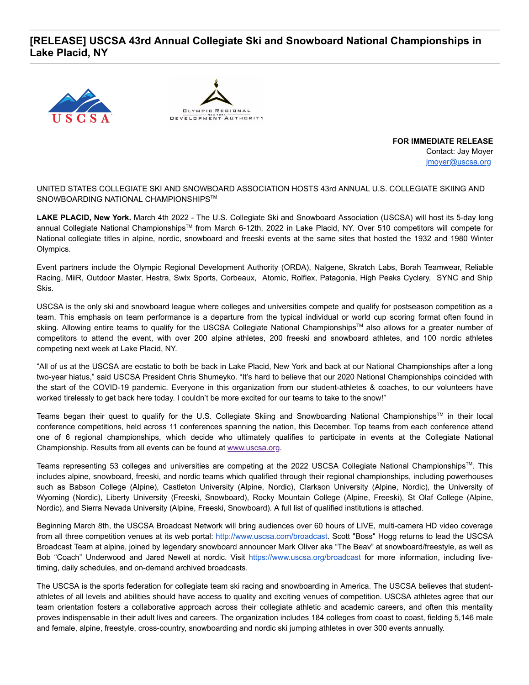## **[RELEASE] USCSA 43rd Annual Collegiate Ski and Snowboard National Championships in Lake Placid, NY**





**FOR IMMEDIATE RELEASE** Contact: Jay Moyer [jmoyer@uscsa.org](mailto:jmoyer@uscsa.org)

UNITED STATES COLLEGIATE SKI AND SNOWBOARD ASSOCIATION HOSTS 43rd ANNUAL U.S. COLLEGIATE SKIING AND SNOWBOARDING NATIONAL CHAMPIONSHIPS™

**LAKE PLACID, New York.** March 4th 2022 - The U.S. Collegiate Ski and Snowboard Association (USCSA) will host its 5-day long annual Collegiate National Championships™ from March 6-12th, 2022 in Lake Placid, NY. Over 510 competitors will compete for National collegiate titles in alpine, nordic, snowboard and freeski events at the same sites that hosted the 1932 and 1980 Winter Olympics.

Event partners include the Olympic Regional Development Authority (ORDA), Nalgene, Skratch Labs, Borah Teamwear, Reliable Racing, MiiR, Outdoor Master, Hestra, Swix Sports, Corbeaux, Atomic, Rolflex, Patagonia, High Peaks Cyclery, SYNC and Ship Skis.

USCSA is the only ski and snowboard league where colleges and universities compete and qualify for postseason competition as a team. This emphasis on team performance is a departure from the typical individual or world cup scoring format often found in skiing. Allowing entire teams to qualify for the USCSA Collegiate National Championships™ also allows for a greater number of competitors to attend the event, with over 200 alpine athletes, 200 freeski and snowboard athletes, and 100 nordic athletes competing next week at Lake Placid, NY.

"All of us at the USCSA are ecstatic to both be back in Lake Placid, New York and back at our National Championships after a long two-year hiatus," said USCSA President Chris Shumeyko. "It's hard to believe that our 2020 National Championships coincided with the start of the COVID-19 pandemic. Everyone in this organization from our student-athletes & coaches, to our volunteers have worked tirelessly to get back here today. I couldn't be more excited for our teams to take to the snow!"

Teams began their quest to qualify for the U.S. Collegiate Skiing and Snowboarding National Championships™ in their local conference competitions, held across 11 conferences spanning the nation, this December. Top teams from each conference attend one of 6 regional championships, which decide who ultimately qualifies to participate in events at the Collegiate National Championship. Results from all events can be found at [www.uscsa.org.](http://www.uscsa.org/)

Teams representing 53 colleges and universities are competing at the 2022 USCSA Collegiate National Championships™. This includes alpine, snowboard, freeski, and nordic teams which qualified through their regional championships, including powerhouses such as Babson College (Alpine), Castleton University (Alpine, Nordic), Clarkson University (Alpine, Nordic), the University of Wyoming (Nordic), Liberty University (Freeski, Snowboard), Rocky Mountain College (Alpine, Freeski), St Olaf College (Alpine, Nordic), and Sierra Nevada University (Alpine, Freeski, Snowboard). A full list of qualified institutions is attached.

Beginning March 8th, the USCSA Broadcast Network will bring audiences over 60 hours of LIVE, multi-camera HD video coverage from all three competition venues at its web portal: [http://www.uscsa.com/broadcast.](http://www.uscsa.com/broadcast) Scott "Boss" Hogg returns to lead the USCSA Broadcast Team at alpine, joined by legendary snowboard announcer Mark Oliver aka "The Beav" at snowboard/freestyle, as well as Bob "Coach" Underwood and Jared Newell at nordic. Visit <https://www.uscsa.org/broadcast> for more information, including livetiming, daily schedules, and on-demand archived broadcasts.

The USCSA is the sports federation for collegiate team ski racing and snowboarding in America. The USCSA believes that studentathletes of all levels and abilities should have access to quality and exciting venues of competition. USCSA athletes agree that our team orientation fosters a collaborative approach across their collegiate athletic and academic careers, and often this mentality proves indispensable in their adult lives and careers. The organization includes 184 colleges from coast to coast, fielding 5,146 male and female, alpine, freestyle, cross-country, snowboarding and nordic ski jumping athletes in over 300 events annually.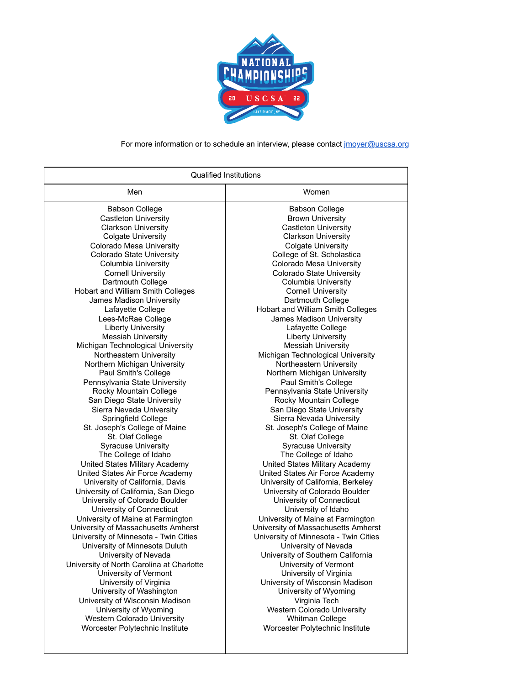

## For more information or to schedule an interview, please contact [jmoyer@uscsa.org](mailto:jmoyer@uscsa.org)

| Qualified Institutions                    |                                       |
|-------------------------------------------|---------------------------------------|
| Men                                       | Women                                 |
| <b>Babson College</b>                     | <b>Babson College</b>                 |
| <b>Castleton University</b>               | <b>Brown University</b>               |
| <b>Clarkson University</b>                | <b>Castleton University</b>           |
| <b>Colgate University</b>                 | <b>Clarkson University</b>            |
| Colorado Mesa University                  | <b>Colgate University</b>             |
| Colorado State University                 | College of St. Scholastica            |
| Columbia University                       | Colorado Mesa University              |
| <b>Cornell University</b>                 | Colorado State University             |
| Dartmouth College                         | <b>Columbia University</b>            |
| Hobart and William Smith Colleges         | <b>Cornell University</b>             |
| James Madison University                  | Dartmouth College                     |
| Lafayette College                         | Hobart and William Smith Colleges     |
| Lees-McRae College                        | James Madison University              |
| <b>Liberty University</b>                 | Lafayette College                     |
| <b>Messiah University</b>                 | <b>Liberty University</b>             |
| Michigan Technological University         | <b>Messiah University</b>             |
| Northeastern University                   | Michigan Technological University     |
| Northern Michigan University              | Northeastern University               |
| Paul Smith's College                      | Northern Michigan University          |
| Pennsylvania State University             | Paul Smith's College                  |
| Rocky Mountain College                    | Pennsylvania State University         |
| San Diego State University                | Rocky Mountain College                |
| Sierra Nevada University                  | San Diego State University            |
| Springfield College                       | Sierra Nevada University              |
| St. Joseph's College of Maine             | St. Joseph's College of Maine         |
| St. Olaf College                          | St. Olaf College                      |
| <b>Syracuse University</b>                | <b>Syracuse University</b>            |
| The College of Idaho                      | The College of Idaho                  |
| United States Military Academy            | United States Military Academy        |
| United States Air Force Academy           | United States Air Force Academy       |
| University of California, Davis           | University of California, Berkeley    |
| University of California, San Diego       | University of Colorado Boulder        |
| University of Colorado Boulder            | University of Connecticut             |
| University of Connecticut                 | University of Idaho                   |
| University of Maine at Farmington         | University of Maine at Farmington     |
| University of Massachusetts Amherst       | University of Massachusetts Amherst   |
| University of Minnesota - Twin Cities     | University of Minnesota - Twin Cities |
| University of Minnesota Duluth            | University of Nevada                  |
| University of Nevada                      | University of Southern California     |
| University of North Carolina at Charlotte | University of Vermont                 |
| University of Vermont                     | University of Virginia                |
| University of Virginia                    | University of Wisconsin Madison       |
| University of Washington                  | University of Wyoming                 |
| University of Wisconsin Madison           | Virginia Tech                         |
| University of Wyoming                     | <b>Western Colorado University</b>    |
| <b>Western Colorado University</b>        | <b>Whitman College</b>                |
| Worcester Polytechnic Institute           | Worcester Polytechnic Institute       |